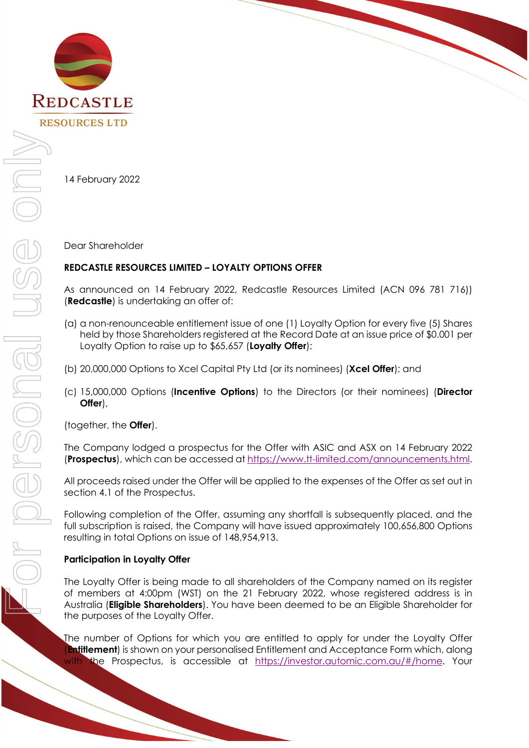

14 February 2022

Dear Shareholder

### **REDCASTLE RESOURCES LIMITED – LOYALTY OPTIONS OFFER**

As announced on 14 February 2022, Redcastle Resources Limited (ACN 096 781 716)) (**Redcastle**) is undertaking an offer of:

- (a) a non-renounceable entitlement issue of one (1) Loyalty Option for every five (5) Shares held by those Shareholders registered at the Record Date at an issue price of \$0.001 per Loyalty Option to raise up to \$65,657 (**Loyalty Offer**);
- (b) 20,000,000 Options to Xcel Capital Pty Ltd (or its nominees) (**Xcel Offer**); and
- (c) 15,000,000 Options (**Incentive Options**) to the Directors (or their nominees) (**Director Offer**),

(together, the **Offer**).

The Company lodged a prospectus for the Offer with ASIC and ASX on 14 February 2022 (**Prospectus**), which can be accessed a[t https://www.tt-limited.com/announcements.html.](https://www.tt-limited.com/announcements.html)

All proceeds raised under the Offer will be applied to the expenses of the Offer as set out in section 4.1 of the Prospectus.

Following completion of the Offer, assuming any shortfall is subsequently placed, and the full subscription is raised, the Company will have issued approximately 100,656,800 Options resulting in total Options on issue of 148,954,913.

### **Participation in Loyalty Offer**

The Loyalty Offer is being made to all shareholders of the Company named on its register of members at 4:00pm (WST) on the 21 February 2022, whose registered address is in Australia (**Eligible Shareholders**). You have been deemed to be an Eligible Shareholder for the purposes of the Loyalty Offer.

The number of Options for which you are entitled to apply for under the Loyalty Offer (**Entitlement**) is shown on your personalised Entitlement and Acceptance Form which, along with the Prospectus, is accessible at [https://investor.automic.com.au/#/home.](https://investor.automic.com.au/#/home) Your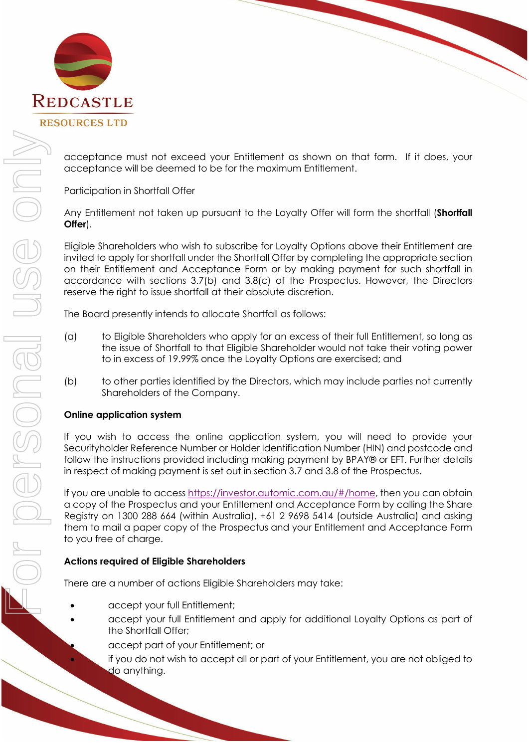

acceptance must not exceed your Entitlement as shown on that form. If it does, your acceptance will be deemed to be for the maximum Entitlement.

Participation in Shortfall Offer

Any Entitlement not taken up pursuant to the Loyalty Offer will form the shortfall (**Shortfall Offer**).

Eligible Shareholders who wish to subscribe for Loyalty Options above their Entitlement are invited to apply for shortfall under the Shortfall Offer by completing the appropriate section on their Entitlement and Acceptance Form or by making payment for such shortfall in accordance with sections 3.7(b) and 3.8(c) of the Prospectus. However, the Directors reserve the right to issue shortfall at their absolute discretion.

The Board presently intends to allocate Shortfall as follows:

- (a) to Eligible Shareholders who apply for an excess of their full Entitlement, so long as the issue of Shortfall to that Eligible Shareholder would not take their voting power to in excess of 19.99% once the Loyalty Options are exercised; and
- (b) to other parties identified by the Directors, which may include parties not currently Shareholders of the Company.

# **Online application system**

If you wish to access the online application system, you will need to provide your Securityholder Reference Number or Holder Identification Number (HIN) and postcode and follow the instructions provided including making payment by BPAY® or EFT. Further details in respect of making payment is set out in section 3.7 and 3.8 of the Prospectus.

If you are unable to acces[s https://investor.automic.com.au/#/home,](https://investor.automic.com.au/#/home) then you can obtain a copy of the Prospectus and your Entitlement and Acceptance Form by calling the Share Registry on 1300 288 664 (within Australia), +61 2 9698 5414 (outside Australia) and asking them to mail a paper copy of the Prospectus and your Entitlement and Acceptance Form to you free of charge.

# **Actions required of Eligible Shareholders**

There are a number of actions Eligible Shareholders may take:

- accept your full Entitlement;
	- accept your full Entitlement and apply for additional Loyalty Options as part of the Shortfall Offer;

• accept part of your Entitlement; or

if you do not wish to accept all or part of your Entitlement, you are not obliged to do anything.